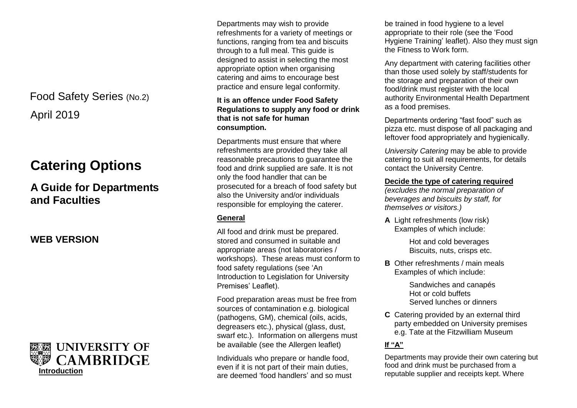## April 2019 Food Safety Series (No.2)

# **Catering Options**

## **A Guide for Departments and Faculties**

**WEB VERSION**



Departments may wish to provide refreshments for a variety of meetings or functions, ranging from tea and biscuits through to a full meal. This guide is designed to assist in selecting the most appropriate option when organising catering and aims to encourage best practice and ensure legal conformity.

## **It is an offence under Food Safety Regulations to supply any food or drink that is not safe for human consumption.**

Departments must ensure that where refreshments are provided they take all reasonable precautions to guarantee the food and drink supplied are safe. It is not only the food handler that can be prosecuted for a breach of food safety but also the University and/or individuals responsible for employing the caterer.

## **General**

All food and drink must be prepared. stored and consumed in suitable and appropriate areas (not laboratories / workshops). These areas must conform to food safety regulations (see 'An Introduction to Legislation for University Premises' Leaflet).

Food preparation areas must be free from sources of contamination e.g. biological (pathogens, GM), chemical (oils, acids, degreasers etc.), physical (glass, dust, swarf etc.). Information on allergens must be available (see the Allergen leaflet)

Individuals who prepare or handle food, even if it is not part of their main duties, are deemed 'food handlers' and so must be trained in food hygiene to a level appropriate to their role (see the 'Food Hygiene Training' leaflet). Also they must sign the Fitness to Work form.

Any department with catering facilities other than those used solely by staff/students for the storage and preparation of their own food/drink must register with the local authority Environmental Health Department as a food premises.

Departments ordering "fast food" such as pizza etc. must dispose of all packaging and leftover food appropriately and hygienically.

*University Catering* may be able to provide catering to suit all requirements, for details contact the University Centre.

## **Decide the type of catering required**

*(excludes the normal preparation of beverages and biscuits by staff, for themselves or visitors.)*

**A** Light refreshments (low risk) Examples of which include:

> Hot and cold beverages Biscuits, nuts, crisps etc.

**B** Other refreshments / main meals Examples of which include:

> Sandwiches and canapés Hot or cold buffets Served lunches or dinners

**C** Catering provided by an external third party embedded on University premises e.g. Tate at the Fitzwilliam Museum

## **If "A"**

Departments may provide their own catering but food and drink must be purchased from a reputable supplier and receipts kept. Where